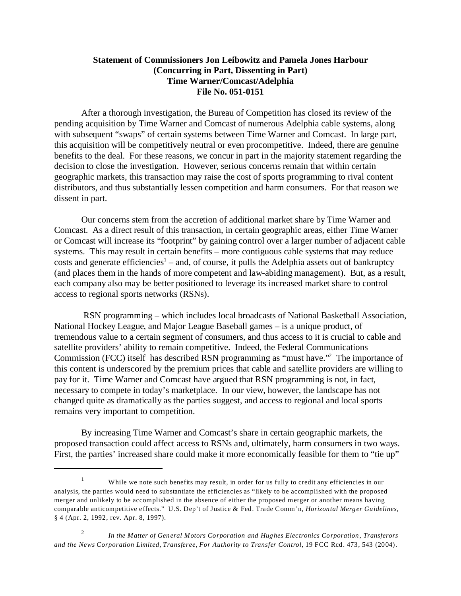## **Statement of Commissioners Jon Leibowitz and Pamela Jones Harbour (Concurring in Part, Dissenting in Part) Time Warner/Comcast/Adelphia File No. 051-0151**

After a thorough investigation, the Bureau of Competition has closed its review of the pending acquisition by Time Warner and Comcast of numerous Adelphia cable systems, along with subsequent "swaps" of certain systems between Time Warner and Comcast. In large part, this acquisition will be competitively neutral or even procompetitive. Indeed, there are genuine benefits to the deal. For these reasons, we concur in part in the majority statement regarding the decision to close the investigation. However, serious concerns remain that within certain geographic markets, this transaction may raise the cost of sports programming to rival content distributors, and thus substantially lessen competition and harm consumers. For that reason we dissent in part.

Our concerns stem from the accretion of additional market share by Time Warner and Comcast. As a direct result of this transaction, in certain geographic areas, either Time Warner or Comcast will increase its "footprint" by gaining control over a larger number of adjacent cable systems. This may result in certain benefits – more contiguous cable systems that may reduce  $costs$  and generate efficiencies<sup>1</sup> – and, of course, it pulls the Adelphia assets out of bankruptcy (and places them in the hands of more competent and law-abiding management). But, as a result, each company also may be better positioned to leverage its increased market share to control access to regional sports networks (RSNs).

 RSN programming – which includes local broadcasts of National Basketball Association, National Hockey League, and Major League Baseball games – is a unique product, of tremendous value to a certain segment of consumers, and thus access to it is crucial to cable and satellite providers' ability to remain competitive. Indeed, the Federal Communications Commission (FCC) itself has described RSN programming as "must have."2 The importance of this content is underscored by the premium prices that cable and satellite providers are willing to pay for it. Time Warner and Comcast have argued that RSN programming is not, in fact, necessary to compete in today's marketplace. In our view, however, the landscape has not changed quite as dramatically as the parties suggest, and access to regional and local sports remains very important to competition.

By increasing Time Warner and Comcast's share in certain geographic markets, the proposed transaction could affect access to RSNs and, ultimately, harm consumers in two ways. First, the parties' increased share could make it more economically feasible for them to "tie up"

<sup>&</sup>lt;sup>1</sup> While we note such benefits may result, in order for us fully to credit any efficiencies in our analysis, the parties would need to substantiate the efficiencies as "likely to be accomplished with the proposed merger and unlikely to be accomplished in the absence of either the proposed merger or another means having comparable anticompetitive effects." U.S. Dep't of Justice & Fed. Trade Comm'n*, Horizontal Merger Guidelines,*  § 4 (Apr. 2, 1992, rev. Apr. 8, 1997).

<sup>2</sup>*In the Matter of General Motors Corporation and Hughes Electronics Corporation, Transferors and the News Corporation Limited, Transferee, For Authority to Transfer Control*, 19 FCC Rcd. 473, 543 (2004).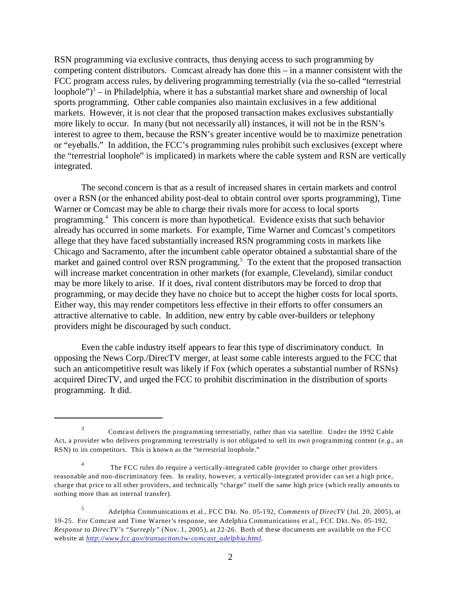RSN programming via exclusive contracts, thus denying access to such programming by competing content distributors. Comcast already has done this – in a manner consistent with the FCC program access rules, by delivering programming terrestrially (via the so-called "terrestrial loophole" $)^3$  – in Philadelphia, where it has a substantial market share and ownership of local sports programming. Other cable companies also maintain exclusives in a few additional markets. However, it is not clear that the proposed transaction makes exclusives substantially more likely to occur. In many (but not necessarily all) instances, it will not be in the RSN's interest to agree to them, because the RSN's greater incentive would be to maximize penetration or "eyeballs." In addition, the FCC's programming rules prohibit such exclusives (except where the "terrestrial loophole" is implicated) in markets where the cable system and RSN are vertically integrated.

The second concern is that as a result of increased shares in certain markets and control over a RSN (or the enhanced ability post-deal to obtain control over sports programming), Time Warner or Comcast may be able to charge their rivals more for access to local sports programming.4 This concern is more than hypothetical. Evidence exists that such behavior already has occurred in some markets. For example, Time Warner and Comcast's competitors allege that they have faced substantially increased RSN programming costs in markets like Chicago and Sacramento, after the incumbent cable operator obtained a substantial share of the market and gained control over RSN programming.<sup>5</sup> To the extent that the proposed transaction will increase market concentration in other markets (for example, Cleveland), similar conduct may be more likely to arise. If it does, rival content distributors may be forced to drop that programming, or may decide they have no choice but to accept the higher costs for local sports. Either way, this may render competitors less effective in their efforts to offer consumers an attractive alternative to cable. In addition, new entry by cable over-builders or telephony providers might be discouraged by such conduct.

Even the cable industry itself appears to fear this type of discriminatory conduct. In opposing the News Corp./DirecTV merger, at least some cable interests argued to the FCC that such an anticompetitive result was likely if Fox (which operates a substantial number of RSNs) acquired DirecTV, and urged the FCC to prohibit discrimination in the distribution of sports programming. It did.

<sup>&</sup>lt;sup>3</sup> Comcast delivers the programming terrestrially, rather than via satellite. Under the 1992 Cable Act, a provider who delivers programming terrestrially is not obligated to sell its own programming content (*e.g.*, an RSN) to its competitors. This is known as the "terrestrial loophole."

<sup>&</sup>lt;sup>4</sup> The FCC rules do require a vertically-integrated cable provider to charge other providers reasonable and non-discriminatory fees. In reality, however, a vertically-integrated provider can set a high price, charge that price to all other providers, and technically "charge" itself the same high price (which really amounts to nothing more than an internal transfer).

<sup>5</sup> Adelphia Communications et al., FCC Dkt. No. 05-192, *Comments of DirecTV* (Jul. 20, 2005), at 19-25. For Comcast and Time Warner's response, see Adelphia Communications et al., FCC Dkt. No. 05-192, *Response to DirecTV's "Surreply"* (Nov. 1, 2005), at 22-26. Both of these documents are available on the FCC website at *[http://www.fcc.gov/transaction/tw-comcast\\_adelphia.html](http://www.fcc.gov/transaction/tw-comcast_adelphia.html).*